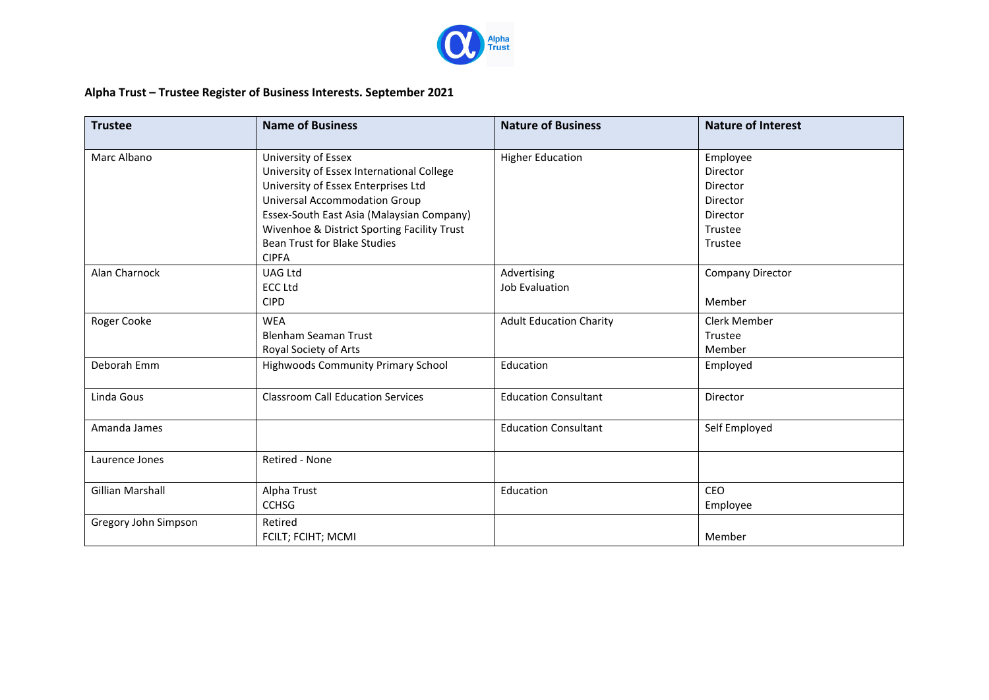

# **Alpha Trust – Trustee Register of Business Interests. September 2021**

| <b>Trustee</b>       | <b>Name of Business</b>                                                                                                                                                                                                                                                                     | <b>Nature of Business</b>            | <b>Nature of Interest</b>                                                      |
|----------------------|---------------------------------------------------------------------------------------------------------------------------------------------------------------------------------------------------------------------------------------------------------------------------------------------|--------------------------------------|--------------------------------------------------------------------------------|
| Marc Albano          | University of Essex<br>University of Essex International College<br>University of Essex Enterprises Ltd<br><b>Universal Accommodation Group</b><br>Essex-South East Asia (Malaysian Company)<br>Wivenhoe & District Sporting Facility Trust<br>Bean Trust for Blake Studies<br><b>CIPFA</b> | <b>Higher Education</b>              | Employee<br>Director<br>Director<br>Director<br>Director<br>Trustee<br>Trustee |
| Alan Charnock        | <b>UAG Ltd</b><br><b>ECC Ltd</b><br><b>CIPD</b>                                                                                                                                                                                                                                             | Advertising<br><b>Job Evaluation</b> | <b>Company Director</b><br>Member                                              |
| Roger Cooke          | <b>WEA</b><br>Blenham Seaman Trust<br>Royal Society of Arts                                                                                                                                                                                                                                 | <b>Adult Education Charity</b>       | <b>Clerk Member</b><br>Trustee<br>Member                                       |
| Deborah Emm          | <b>Highwoods Community Primary School</b>                                                                                                                                                                                                                                                   | Education                            | Employed                                                                       |
| Linda Gous           | <b>Classroom Call Education Services</b>                                                                                                                                                                                                                                                    | <b>Education Consultant</b>          | Director                                                                       |
| Amanda James         |                                                                                                                                                                                                                                                                                             | <b>Education Consultant</b>          | Self Employed                                                                  |
| Laurence Jones       | Retired - None                                                                                                                                                                                                                                                                              |                                      |                                                                                |
| Gillian Marshall     | Alpha Trust<br><b>CCHSG</b>                                                                                                                                                                                                                                                                 | Education                            | <b>CEO</b><br>Employee                                                         |
| Gregory John Simpson | Retired<br>FCILT; FCIHT; MCMI                                                                                                                                                                                                                                                               |                                      | Member                                                                         |